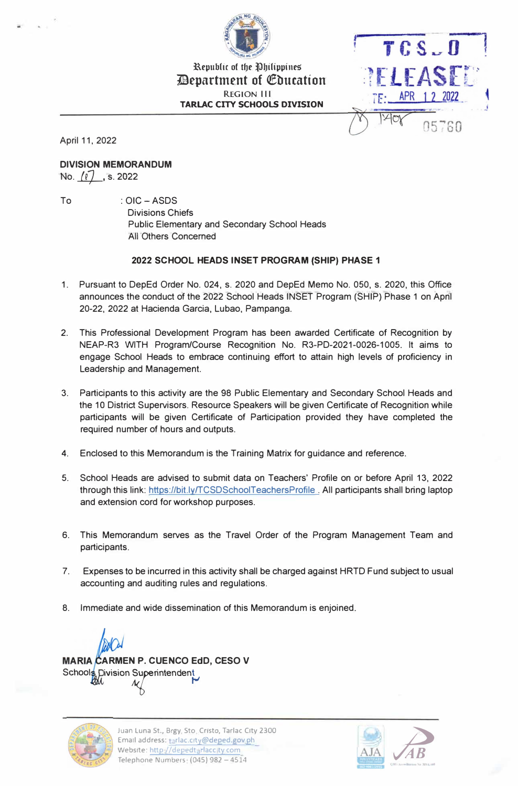

Republic of the Philippines *E* Department of Education REGION 111 **TARLAC CITY SCHOOLS DIVISION** 



April 11, 2022

**DIVISION MEMORANDUM**  No. <u>(ℓ) ,</u> s. 2022

To : OIC-ASDS Divisions Chiefs Public Elementary and Secondary School Heads All Others Concerned

#### **2022 SCHOOL HEADS INSET PROGRAM (SHIP) PHASE 1**

- 1. Pursuant to DepEd Order No. 024, s. 2020 and DepEd Memo No. 050, s. 2020, this Office announces the conduct of the 2022 School Heads INSET Program (SHIP) Phase 1 on Apnl 20-22, 2022 at Hacienda Garcia, Lubao, Pampanga.
- 2. This Professional Development Program has been awarded Certificate of Recognition by NEAP-R3 WITH Program/Course Recognition No. R3-PD-2021-0026-1005. It aims to engage School Heads to embrace continuing effort to attain high levels of proficiency in Leadership and Management.
- 3. Participants to this activity are the 98 Public Elementary and Secondary School Heads and the 10 District Supervisors. Resource Speakers will be given Certificate of Recognition while participants will be given Certificate of Participation provided they have completed the required number of hours and outputs.
- 4. Enclosed to this Memorandum is the Training Matrix for guidance and reference.
- 5. School Heads are advised to submit data on Teachers' Profile on or before April 13, 2022 through this link: https://bit.ly/TCSDSchoolTeachersProfile. All participants shall bring laptop and extension cord for workshop purposes.
- 6. This Memorandum serves as the Travel Order of the Program Management Team and participants.
- 7. Expenses to be incurred in this activity shall be charged against HRTD Fund subject to usual accounting and auditing rules and regulations.
- 8. Immediate and wide dissemination of this Memorandum is enjoined.

Schools Division Superintendent<br>All M **MARIA CARMEN P. CUENCO EdD, CESO V** 



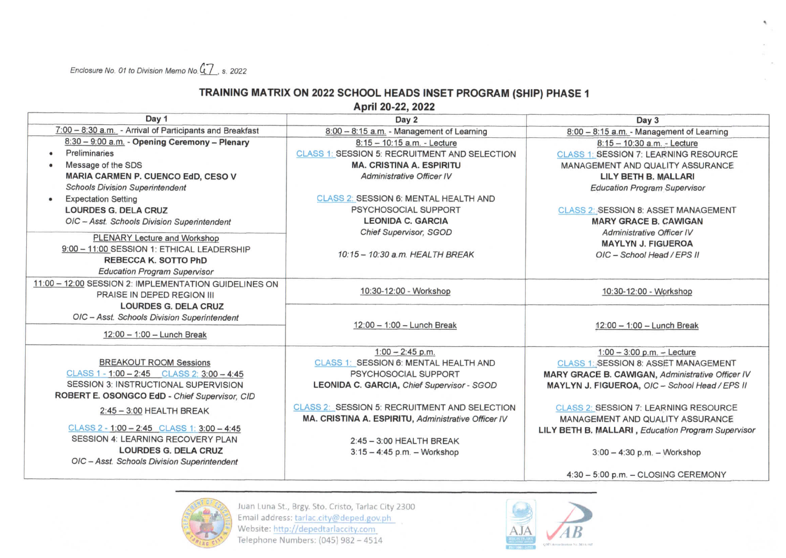Enclosure No. 01 to Division Memo No. 47, s. 2022

## TRAINING MATRIX ON 2022 SCHOOL HEADS INSET PROGRAM (SHIP) PHASE 1

April 20-22, 2022

| Day 1                                                    | Day 2                                                | Day 3                                              |
|----------------------------------------------------------|------------------------------------------------------|----------------------------------------------------|
| 7:00 - 8:30 a.m. - Arrival of Participants and Breakfast | 8:00 - 8:15 a.m. - Management of Learning            | 8:00 - 8:15 a.m. - Management of Learning          |
| 8:30 - 9:00 a.m. - Opening Ceremony - Plenary            | 8:15 - 10:15 a.m. - Lecture                          | 8:15 - 10:30 a.m. - Lecture                        |
| Preliminaries<br>٠                                       | CLASS 1: SESSION 5: RECRUITMENT AND SELECTION        | <b>CLASS 1: SESSION 7: LEARNING RESOURCE</b>       |
| Message of the SDS                                       | <b>MA. CRISTINA A. ESPIRITU</b>                      | <b>MANAGEMENT AND QUALITY ASSURANCE</b>            |
| MARIA CARMEN P. CUENCO EdD, CESO V                       | <b>Administrative Officer IV</b>                     | LILY BETH B. MALLARI                               |
| <b>Schools Division Superintendent</b>                   |                                                      | <b>Education Program Supervisor</b>                |
| <b>Expectation Setting</b><br>٠                          | CLASS 2: SESSION 6: MENTAL HEALTH AND                |                                                    |
| <b>LOURDES G. DELA CRUZ</b>                              | PSYCHOSOCIAL SUPPORT                                 | CLASS 2: SESSION 8: ASSET MANAGEMENT               |
| OIC - Asst. Schools Division Superintendent              | <b>LEONIDA C. GARCIA</b>                             | <b>MARY GRACE B. CAWIGAN</b>                       |
| PLENARY Lecture and Workshop                             | Chief Supervisor, SGOD                               | Administrative Officer IV                          |
| 9:00 - 11:00 SESSION 1: ETHICAL LEADERSHIP               |                                                      | <b>MAYLYN J. FIGUEROA</b>                          |
| <b>REBECCA K. SOTTO PhD</b>                              | 10:15 - 10:30 a.m. HEALTH BREAK                      | OIC - School Head / EPS II                         |
| <b>Education Program Supervisor</b>                      |                                                      |                                                    |
| 11:00 - 12:00 SESSION 2: IMPLEMENTATION GUIDELINES ON    |                                                      |                                                    |
| PRAISE IN DEPED REGION III                               | 10:30-12:00 - Workshop                               | 10:30-12:00 - Workshop                             |
| <b>LOURDES G. DELA CRUZ</b>                              |                                                      |                                                    |
| OIC - Asst. Schools Division Superintendent              |                                                      |                                                    |
|                                                          | 12:00 - 1:00 - Lunch Break                           | 12:00 - 1:00 - Lunch Break                         |
| $12:00 - 1:00 -$ Lunch Break                             |                                                      |                                                    |
|                                                          | $1:00 - 2:45$ p.m.                                   | $1:00 - 3:00$ p.m. - Lecture                       |
| <b>BREAKOUT ROOM Sessions</b>                            | CLASS 1: SESSION 6: MENTAL HEALTH AND                | CLASS 1: SESSION 8: ASSET MANAGEMENT               |
| CLASS 1 - 1:00 - 2:45 CLASS 2: 3:00 - 4:45               | PSYCHOSOCIAL SUPPORT                                 | MARY GRACE B. CAWIGAN, Administrative Officer IV   |
| SESSION 3: INSTRUCTIONAL SUPERVISION                     | LEONIDA C. GARCIA, Chief Supervisor - SGOD           | MAYLYN J. FIGUEROA, OIC - School Head / EPS II     |
| ROBERT E. OSONGCO EdD - Chief Supervisor, CID            |                                                      |                                                    |
| $2:45 - 3:00$ HEALTH BREAK                               | <b>CLASS 2: SESSION 5: RECRUITMENT AND SELECTION</b> | <b>CLASS 2: SESSION 7: LEARNING RESOURCE</b>       |
|                                                          | MA. CRISTINA A. ESPIRITU, Administrative Officer IV  | <b>MANAGEMENT AND QUALITY ASSURANCE</b>            |
| CLASS 2 - 1:00 - 2:45 CLASS 1: 3:00 - 4:45               |                                                      | LILY BETH B. MALLARI, Education Program Supervisor |
| SESSION 4: LEARNING RECOVERY PLAN                        | $2:45 - 3:00$ HEALTH BREAK                           |                                                    |
| <b>LOURDES G. DELA CRUZ</b>                              | $3:15 - 4:45$ p.m. - Workshop                        | 3:00 - 4:30 p.m. - Workshop                        |
| OIC - Asst. Schools Division Superintendent              |                                                      |                                                    |
|                                                          |                                                      | 4:30 - 5:00 p.m. - CLOSING CEREMONY                |



Juan Luna St., Brgy. Sto. Cristo, Tarlac City 2300 Email address: tarlac.city@deped.gov.ph Website: http://depedtarlaccity.com Telephone Numbers: (045) 982 - 4514



 $\mathbf{r}_i$